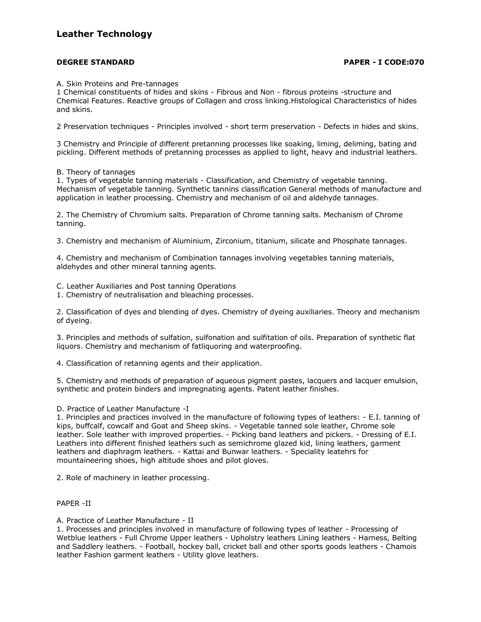## **Leather Technology**

## **DEGREE STANDARD PAPER - I CODE:070**

A. Skin Proteins and Pre-tannages

1 Chemical constituents of hides and skins - Fibrous and Non - fibrous proteins -structure and Chemical Features. Reactive groups of Collagen and cross linking.Histological Characteristics of hides and skins.

2 Preservation techniques - Principles involved - short term preservation - Defects in hides and skins.

3 Chemistry and Principle of different pretanning processes like soaking, liming, deliming, bating and pickling. Different methods of pretanning processes as applied to light, heavy and industrial leathers.

B. Theory of tannages

1. Types of vegetable tanning materials - Classification, and Chemistry of vegetable tanning. Mechanism of vegetable tanning. Synthetic tannins classification General methods of manufacture and application in leather processing. Chemistry and mechanism of oil and aldehyde tannages.

2. The Chemistry of Chromium salts. Preparation of Chrome tanning salts. Mechanism of Chrome tanning.

3. Chemistry and mechanism of Aluminium, Zirconium, titanium, silicate and Phosphate tannages.

4. Chemistry and mechanism of Combination tannages involving vegetables tanning materials, aldehydes and other mineral tanning agents.

C. Leather Auxiliaries and Post tanning Operations

1. Chemistry of neutralisation and bleaching processes.

2. Classification of dyes and blending of dyes. Chemistry of dyeing auxiliaries. Theory and mechanism of dyeing.

3. Principles and methods of sulfation, sulfonation and sulfitation of oils. Preparation of synthetic flat liquors. Chemistry and mechanism of fatliquoring and waterproofing.

4. Classification of retanning agents and their application.

5. Chemistry and methods of preparation of aqueous pigment pastes, lacquers and lacquer emulsion, synthetic and protein binders and impregnating agents. Patent leather finishes.

D. Practice of Leather Manufacture -I

1. Principles and practices involved in the manufacture of following types of leathers: - E.I. tanning of kips, buffcalf, cowcalf and Goat and Sheep skins. - Vegetable tanned sole leather, Chrome sole leather. Sole leather with improved properties. - Picking band leathers and pickers. - Dressing of E.I. Leathers into different finished leathers such as semichrome glazed kid, lining leathers, garment leathers and diaphragm leathers. - Kattai and Bunwar leathers. - Speciality leatehrs for mountaineering shoes, high altitude shoes and pilot gloves.

2. Role of machinery in leather processing.

### PAPER -II

A. Practice of Leather Manufacture - II

1. Processes and principles involved in manufacture of following types of leather - Processing of Wetblue leathers - Full Chrome Upper leathers - Upholstry leathers Lining leathers - Harness, Belting and Saddlery leathers. - Football, hockey ball, cricket ball and other sports goods leathers - Chamois leather Fashion garment leathers - Utility glove leathers.